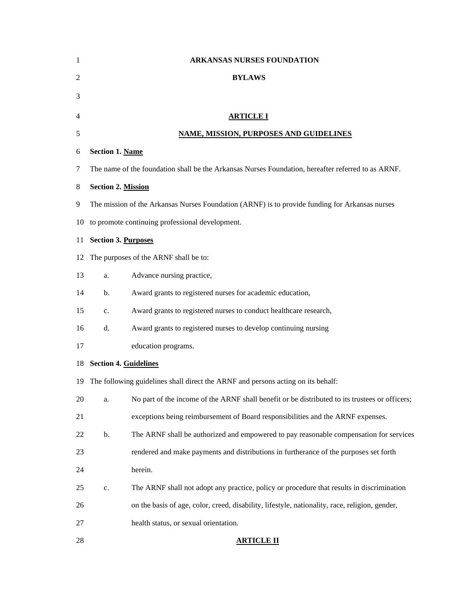| 1              |                                                                                                    | <b>ARKANSAS NURSES FOUNDATION</b>                                                              |  |
|----------------|----------------------------------------------------------------------------------------------------|------------------------------------------------------------------------------------------------|--|
| $\overline{2}$ |                                                                                                    | <b>BYLAWS</b>                                                                                  |  |
| 3              |                                                                                                    |                                                                                                |  |
| 4              | <b>ARTICLE I</b>                                                                                   |                                                                                                |  |
| 5              | <b>NAME, MISSION, PURPOSES AND GUIDELINES</b>                                                      |                                                                                                |  |
| 6              | <b>Section 1. Name</b>                                                                             |                                                                                                |  |
| 7              | The name of the foundation shall be the Arkansas Nurses Foundation, hereafter referred to as ARNF. |                                                                                                |  |
| 8              | <b>Section 2. Mission</b>                                                                          |                                                                                                |  |
| 9              | The mission of the Arkansas Nurses Foundation (ARNF) is to provide funding for Arkansas nurses     |                                                                                                |  |
| 10             | to promote continuing professional development.                                                    |                                                                                                |  |
| 11             | <b>Section 3. Purposes</b>                                                                         |                                                                                                |  |
| 12             | The purposes of the ARNF shall be to:                                                              |                                                                                                |  |
| 13             | a.                                                                                                 | Advance nursing practice,                                                                      |  |
| 14             | b.                                                                                                 | Award grants to registered nurses for academic education,                                      |  |
| 15             | c.                                                                                                 | Award grants to registered nurses to conduct healthcare research,                              |  |
| 16             | d.                                                                                                 | Award grants to registered nurses to develop continuing nursing                                |  |
| 17             |                                                                                                    | education programs.                                                                            |  |
| 18             | <b>Section 4. Guidelines</b>                                                                       |                                                                                                |  |
| 19.            |                                                                                                    | The following guidelines shall direct the ARNF and persons acting on its behalf:               |  |
| 20             | a.                                                                                                 | No part of the income of the ARNF shall benefit or be distributed to its trustees or officers; |  |
| 21             |                                                                                                    | exceptions being reimbursement of Board responsibilities and the ARNF expenses.                |  |
| 22             | b.                                                                                                 | The ARNF shall be authorized and empowered to pay reasonable compensation for services         |  |
| 23             |                                                                                                    | rendered and make payments and distributions in furtherance of the purposes set forth          |  |
| 24             |                                                                                                    | herein.                                                                                        |  |
| 25             | c.                                                                                                 | The ARNF shall not adopt any practice, policy or procedure that results in discrimination      |  |
| 26             |                                                                                                    | on the basis of age, color, creed, disability, lifestyle, nationality, race, religion, gender, |  |
| 27             |                                                                                                    | health status, or sexual orientation.                                                          |  |
| 28             |                                                                                                    | <b>ARTICLE II</b>                                                                              |  |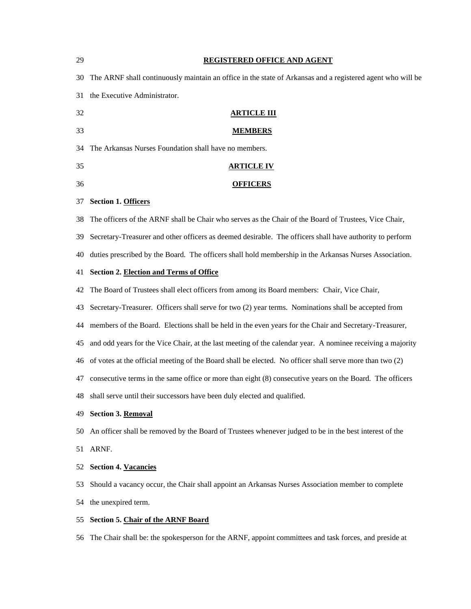| 29  | REGISTERED OFFICE AND AGENT                                                                                |  |  |
|-----|------------------------------------------------------------------------------------------------------------|--|--|
| 30  | The ARNF shall continuously maintain an office in the state of Arkansas and a registered agent who will be |  |  |
| 31  | the Executive Administrator.                                                                               |  |  |
| 32  | <b>ARTICLE III</b>                                                                                         |  |  |
| 33  | <b>MEMBERS</b>                                                                                             |  |  |
| 34  | The Arkansas Nurses Foundation shall have no members.                                                      |  |  |
| 35  | <u>ARTICLE IV</u>                                                                                          |  |  |
| 36  | <b>OFFICERS</b>                                                                                            |  |  |
| 37  | <b>Section 1. Officers</b>                                                                                 |  |  |
| 38  | The officers of the ARNF shall be Chair who serves as the Chair of the Board of Trustees, Vice Chair,      |  |  |
| 39  | Secretary-Treasurer and other officers as deemed desirable. The officers shall have authority to perform   |  |  |
| 40  | duties prescribed by the Board. The officers shall hold membership in the Arkansas Nurses Association.     |  |  |
| 41  | <b>Section 2. Election and Terms of Office</b>                                                             |  |  |
| 42  | The Board of Trustees shall elect officers from among its Board members: Chair, Vice Chair,                |  |  |
| 43  | Secretary-Treasurer. Officers shall serve for two (2) year terms. Nominations shall be accepted from       |  |  |
| 44  | members of the Board. Elections shall be held in the even years for the Chair and Secretary-Treasurer,     |  |  |
| 45  | and odd years for the Vice Chair, at the last meeting of the calendar year. A nominee receiving a majority |  |  |
| 46  | of votes at the official meeting of the Board shall be elected. No officer shall serve more than two (2)   |  |  |
| 47  | consecutive terms in the same office or more than eight (8) consecutive years on the Board. The officers   |  |  |
| 48. | shall serve until their successors have been duly elected and qualified.                                   |  |  |
| 49. | <b>Section 3. Removal</b>                                                                                  |  |  |
| 50  | An officer shall be removed by the Board of Trustees whenever judged to be in the best interest of the     |  |  |
| 51  | ARNF.                                                                                                      |  |  |
| 52  | <b>Section 4. Vacancies</b>                                                                                |  |  |
| 53  | Should a vacancy occur, the Chair shall appoint an Arkansas Nurses Association member to complete          |  |  |
| 54  | the unexpired term.                                                                                        |  |  |
| 55. | <b>Section 5. Chair of the ARNF Board</b>                                                                  |  |  |

The Chair shall be: the spokesperson for the ARNF, appoint committees and task forces, and preside at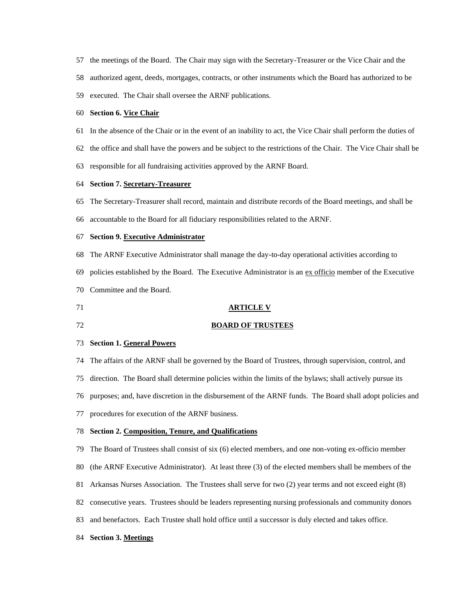- the meetings of the Board. The Chair may sign with the Secretary-Treasurer or the Vice Chair and the
- authorized agent, deeds, mortgages, contracts, or other instruments which the Board has authorized to be
- executed. The Chair shall oversee the ARNF publications.

#### **Section 6. Vice Chair**

- In the absence of the Chair or in the event of an inability to act, the Vice Chair shall perform the duties of
- the office and shall have the powers and be subject to the restrictions of the Chair. The Vice Chair shall be
- responsible for all fundraising activities approved by the ARNF Board.

### **Section 7. Secretary-Treasurer**

- The Secretary-Treasurer shall record, maintain and distribute records of the Board meetings, and shall be
- accountable to the Board for all fiduciary responsibilities related to the ARNF.

#### **Section 9. Executive Administrator**

- The ARNF Executive Administrator shall manage the day-to-day operational activities according to
- policies established by the Board. The Executive Administrator is an ex officio member of the Executive
- Committee and the Board.
- 

#### **ARTICLE V**

## **BOARD OF TRUSTEES**

### **Section 1. General Powers**

- The affairs of the ARNF shall be governed by the Board of Trustees, through supervision, control, and
- direction. The Board shall determine policies within the limits of the bylaws; shall actively pursue its
- purposes; and, have discretion in the disbursement of the ARNF funds. The Board shall adopt policies and
- procedures for execution of the ARNF business.

#### **Section 2. Composition, Tenure, and Qualifications**

- The Board of Trustees shall consist of six (6) elected members, and one non-voting ex-officio member
- (the ARNF Executive Administrator). At least three (3) of the elected members shall be members of the
- Arkansas Nurses Association. The Trustees shall serve for two (2) year terms and not exceed eight (8)
- consecutive years. Trustees should be leaders representing nursing professionals and community donors
- and benefactors. Each Trustee shall hold office until a successor is duly elected and takes office.
- **Section 3. Meetings**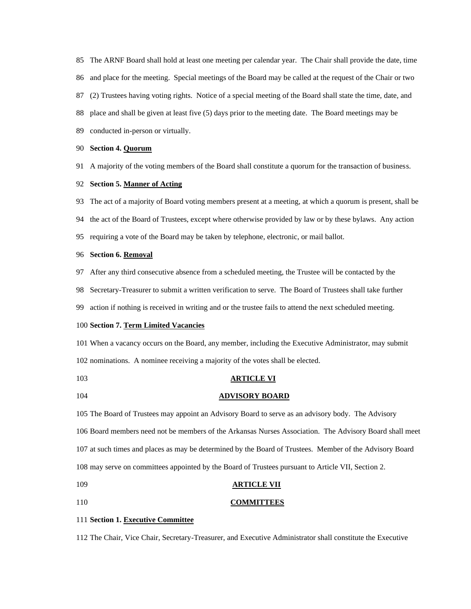The ARNF Board shall hold at least one meeting per calendar year. The Chair shall provide the date, time

- and place for the meeting. Special meetings of the Board may be called at the request of the Chair or two
- (2) Trustees having voting rights. Notice of a special meeting of the Board shall state the time, date, and
- place and shall be given at least five (5) days prior to the meeting date. The Board meetings may be
- conducted in-person or virtually.

#### **Section 4. Quorum**

A majority of the voting members of the Board shall constitute a quorum for the transaction of business.

#### **Section 5. Manner of Acting**

- The act of a majority of Board voting members present at a meeting, at which a quorum is present, shall be
- the act of the Board of Trustees, except where otherwise provided by law or by these bylaws. Any action
- requiring a vote of the Board may be taken by telephone, electronic, or mail ballot.

### **Section 6. Removal**

- After any third consecutive absence from a scheduled meeting, the Trustee will be contacted by the
- Secretary-Treasurer to submit a written verification to serve. The Board of Trustees shall take further
- action if nothing is received in writing and or the trustee fails to attend the next scheduled meeting.

## **Section 7. Term Limited Vacancies**

 When a vacancy occurs on the Board, any member, including the Executive Administrator, may submit nominations. A nominee receiving a majority of the votes shall be elected.

- **ARTICLE VI**
- **ADVISORY BOARD**

 The Board of Trustees may appoint an Advisory Board to serve as an advisory body. The Advisory Board members need not be members of the Arkansas Nurses Association. The Advisory Board shall meet at such times and places as may be determined by the Board of Trustees. Member of the Advisory Board may serve on committees appointed by the Board of Trustees pursuant to Article VII, Section 2.

- **ARTICLE VII**
- **COMMITTEES**

# **Section 1. Executive Committee**

The Chair, Vice Chair, Secretary-Treasurer, and Executive Administrator shall constitute the Executive